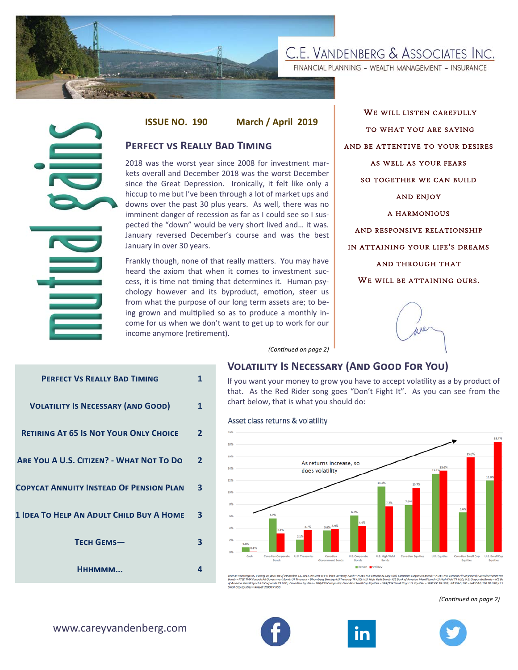

FINANCIAL PLANNING - WEALTH MANAGEMENT - INSURANCE



### **PERFECT VS REALLY BAD TIMING**

WE WILL LISTEN CAREFULLY TO WHAT YOU ARE SAYING AND BE ATTENTIVE TO YOUR DESIRES AS WELL AS YOUR FEARS SO TOGETHER WE CAN BUILD AND ENJOY A HARMONIOUS AND RESPONSIVE RELATIONSHIP IN ATTAINING YOUR LIFE'S DREAMS AND THROUGH THAT WE WILL BE ATTAINING OURS.



### **VOLATILITY IS NECESSARY (AND GOOD FOR YOU)**

|                                                 | <b>ISSUE NO. 190</b>                                                                                                                                                                                                                                                                                                                                                                                                                                                                                                    |              | March / April 2019                                                                                                                                                                                      |
|-------------------------------------------------|-------------------------------------------------------------------------------------------------------------------------------------------------------------------------------------------------------------------------------------------------------------------------------------------------------------------------------------------------------------------------------------------------------------------------------------------------------------------------------------------------------------------------|--------------|---------------------------------------------------------------------------------------------------------------------------------------------------------------------------------------------------------|
|                                                 | <b>PERFECT VS REALLY BAD TIMING</b>                                                                                                                                                                                                                                                                                                                                                                                                                                                                                     |              |                                                                                                                                                                                                         |
|                                                 | 2018 was the worst year since 2008 for investment mar-<br>kets overall and December 2018 was the worst December<br>since the Great Depression. Ironically, it felt like only a<br>hiccup to me but I've been through a lot of market ups and<br>downs over the past 30 plus years. As well, there was no<br>imminent danger of recession as far as I could see so I sus-<br>pected the "down" would be very short lived and it was.<br>January reversed December's course and was the best<br>January in over 30 years. |              |                                                                                                                                                                                                         |
|                                                 | Frankly though, none of that really matters. You may have<br>heard the axiom that when it comes to investment suc-<br>cess, it is time not timing that determines it. Human psy-<br>chology however and its byproduct, emotion, steer us<br>from what the purpose of our long term assets are; to be-<br>ing grown and multiplied so as to produce a monthly in-<br>come for us when we don't want to get up to work for our<br>income anymore (retirement).                                                            |              |                                                                                                                                                                                                         |
|                                                 |                                                                                                                                                                                                                                                                                                                                                                                                                                                                                                                         |              | (Continued on page 2)                                                                                                                                                                                   |
|                                                 |                                                                                                                                                                                                                                                                                                                                                                                                                                                                                                                         |              | <b>VOLATILITY IS NECESSA</b>                                                                                                                                                                            |
| <b>PERFECT VS REALLY BAD TIMING</b>             |                                                                                                                                                                                                                                                                                                                                                                                                                                                                                                                         | 1            | If you want your money to gro<br>that. As the Red Rider song                                                                                                                                            |
| <b>VOLATILITY IS NECESSARY (AND GOOD)</b>       |                                                                                                                                                                                                                                                                                                                                                                                                                                                                                                                         | 1            | chart below, that is what you s                                                                                                                                                                         |
| <b>RETIRING AT 65 IS NOT YOUR ONLY CHOICE</b>   |                                                                                                                                                                                                                                                                                                                                                                                                                                                                                                                         |              | Asset class returns & volatility                                                                                                                                                                        |
|                                                 |                                                                                                                                                                                                                                                                                                                                                                                                                                                                                                                         | $\mathbf{2}$ | 20h<br>18%                                                                                                                                                                                              |
| <b>ARE YOU A U.S. CITIZEN? - WHAT NOT TO DO</b> |                                                                                                                                                                                                                                                                                                                                                                                                                                                                                                                         | $\mathbf{2}$ | 16%<br>As returns in<br>14%<br>does volatili                                                                                                                                                            |
| <b>COPYCAT ANNUITY INSTEAD OF PENSION PLAN</b>  |                                                                                                                                                                                                                                                                                                                                                                                                                                                                                                                         | 3            | 12%<br>10%                                                                                                                                                                                              |
| 1 IDEA TO HELP AN ADULT CHILD BUY A HOME        |                                                                                                                                                                                                                                                                                                                                                                                                                                                                                                                         | з            | 8%<br>5.7%<br>пN<br>3.6%<br>4%<br>3.1%                                                                                                                                                                  |
| <b>ТЕСН GEMS-</b>                               |                                                                                                                                                                                                                                                                                                                                                                                                                                                                                                                         | З            | 2.1%<br>2%<br>0.8%<br>0.1%<br>Cash<br>Canadian Corporate<br>U.S. Treasuries<br>Cana                                                                                                                     |
| Нннммм                                          |                                                                                                                                                                                                                                                                                                                                                                                                                                                                                                                         | 4            | Bonds<br>Governme<br>Source: Morningstar, trailing 10 years as of December 31, 2018. Returns are in ba                                                                                                  |
| www.careyvandenberg.com                         |                                                                                                                                                                                                                                                                                                                                                                                                                                                                                                                         |              | Bonds = FTSE TMX Canada All Government Bond; US Treasury = Bloomberg Barck<br>of America Merrill Lynch US Corporate TR USD; Canadian Equities = S&P/TSX Cor<br>Small Cap Equities = Russell 2000 TR USD |

If you want your money to grow you have to accept volatility as a by product of that. As the Red Rider song goes "Don't Fight It". As you can see from the chart below, that is what you should do:



la 91 Day Tbill; Canadian Corp<br>tid Bonds: ICE Bank of Americ<br>i = 5&P/TSX Small Cap; U.S. Ei porate Bonds = FTSE TMX Canada All Corp Bond; Canadian Governm<br>ca Merrill Lynch US High Yield TR USD; U.S. Corporate Bonds = ICE Ba<br>'quities = S&P 500 TR USD; NASDAQ 100 = NASDAQ 100 TR USD; U.S JSD; U.S. High Yield Bo

*(ConƟnued on page 2)* 





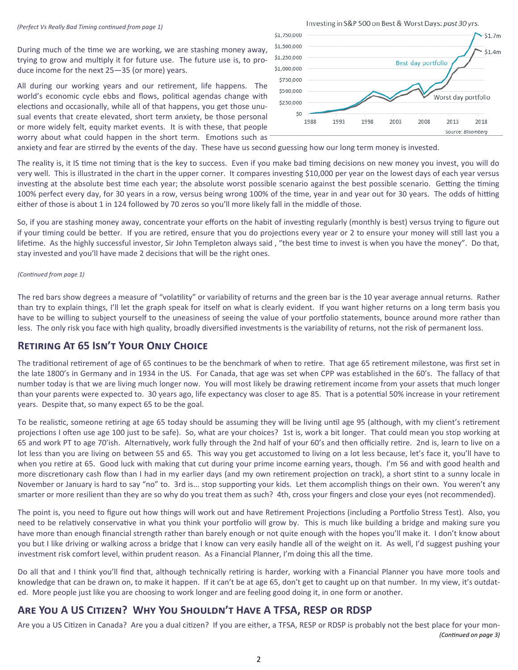During much of the time we are working, we are stashing money away, trying to grow and multiply it for future use. The future use is, to produce income for the next 25—35 (or more) years.

All during our working years and our retirement, life happens. The world's economic cycle ebbs and flows, political agendas change with elections and occasionally, while all of that happens, you get those unusual events that create elevated, short term anxiety, be those personal or more widely felt, equity market events. It is with these, that people worry about what could happen in the short term. Emotions such as



anxiety and fear are stirred by the events of the day. These have us second guessing how our long term money is invested.

The reality is, it IS time not timing that is the key to success. Even if you make bad timing decisions on new money you invest, you will do very well. This is illustrated in the chart in the upper corner. It compares investing \$10,000 per year on the lowest days of each year versus investing at the absolute best time each year; the absolute worst possible scenario against the best possible scenario. Getting the timing 100% perfect every day, for 30 years in a row, versus being wrong 100% of the time, year in and year out for 30 years. The odds of hitting either of those is about 1 in 124 followed by 70 zeros so you'll more likely fall in the middle of those.

So, if you are stashing money away, concentrate your efforts on the habit of investing regularly (monthly is best) versus trying to figure out if your timing could be better. If you are retired, ensure that you do projections every year or 2 to ensure your money will still last you a lifetime. As the highly successful investor, Sir John Templeton always said, "the best time to invest is when you have the money". Do that, stay invested and you'll have made 2 decisions that will be the right ones.

#### *(ConƟnued from page 1)*

The red bars show degrees a measure of "volatility" or variability of returns and the green bar is the 10 year average annual returns. Rather than try to explain things, I'll let the graph speak for itself on what is clearly evident. If you want higher returns on a long term basis you have to be willing to subject yourself to the uneasiness of seeing the value of your portfolio statements, bounce around more rather than less. The only risk you face with high quality, broadly diversified investments is the variability of returns, not the risk of permanent loss.

# **RETIRING AT 65 ISN'T YOUR ONLY CHOICE**

The traditional retirement of age of 65 continues to be the benchmark of when to retire. That age 65 retirement milestone, was first set in the late 1800's in Germany and in 1934 in the US. For Canada, that age was set when CPP was established in the 60's. The fallacy of that number today is that we are living much longer now. You will most likely be drawing retirement income from your assets that much longer than your parents were expected to. 30 years ago, life expectancy was closer to age 85. That is a potential 50% increase in your retirement years. Despite that, so many expect 65 to be the goal.

To be realistic, someone retiring at age 65 today should be assuming they will be living until age 95 (although, with my client's retirement projections I often use age 100 just to be safe). So, what are your choices? 1st is, work a bit longer. That could mean you stop working at 65 and work PT to age 70'ish. Alternatively, work fully through the 2nd half of your 60's and then officially retire. 2nd is, learn to live on a lot less than you are living on between 55 and 65. This way you get accustomed to living on a lot less because, let's face it, you'll have to when you retire at 65. Good luck with making that cut during your prime income earning years, though. I'm 56 and with good health and more discretionary cash flow than I had in my earlier days (and my own retirement projection on track), a short stint to a sunny locale in November or January is hard to say "no" to. 3rd is... stop supporting your kids. Let them accomplish things on their own. You weren't any smarter or more resilient than they are so why do you treat them as such? 4th, cross your fingers and close your eyes (not recommended).

The point is, you need to figure out how things will work out and have Retirement Projections (including a Portfolio Stress Test). Also, you need to be relatively conservative in what you think your portfolio will grow by. This is much like building a bridge and making sure you have more than enough financial strength rather than barely enough or not quite enough with the hopes you'll make it. I don't know about you but I like driving or walking across a bridge that I know can very easily handle all of the weight on it. As well, I'd suggest pushing your investment risk comfort level, within prudent reason. As a Financial Planner, I'm doing this all the time.

Do all that and I think you'll find that, although technically retiring is harder, working with a Financial Planner you have more tools and knowledge that can be drawn on, to make it happen. If it can't be at age 65, don't get to caught up on that number. In my view, it's outdated. More people just like you are choosing to work longer and are feeling good doing it, in one form or another.

# **ARE YOU A US CITIZEN? WHY YOU SHOULDN'T HAVE A TFSA, RESP OR RDSP**

Are you a US Citizen in Canada? Are you a dual citizen? If you are either, a TFSA, RESP or RDSP is probably not the best place for your mon-*(ConƟnued on page 3)*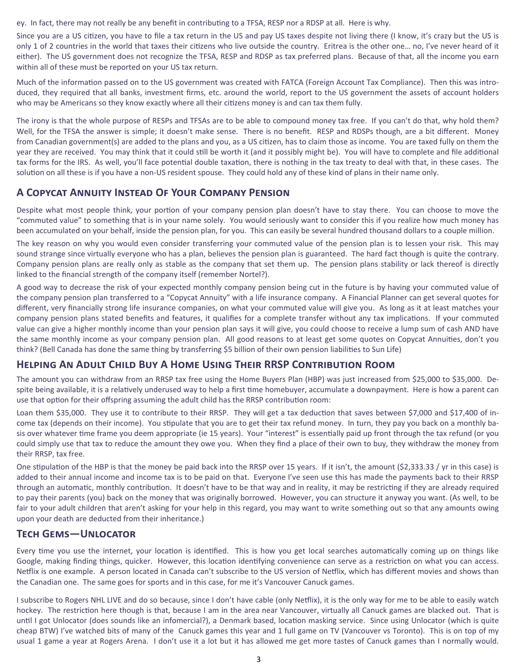ey. In fact, there may not really be any benefit in contributing to a TFSA, RESP nor a RDSP at all. Here is why.

Since you are a US citizen, you have to file a tax return in the US and pay US taxes despite not living there (I know, it's crazy but the US is only 1 of 2 countries in the world that taxes their citizens who live outside the country. Eritrea is the other one... no, I've never heard of it either). The US government does not recognize the TFSA, RESP and RDSP as tax preferred plans. Because of that, all the income you earn within all of these must be reported on your US tax return.

Much of the information passed on to the US government was created with FATCA (Foreign Account Tax Compliance). Then this was introduced, they required that all banks, investment firms, etc. around the world, report to the US government the assets of account holders who may be Americans so they know exactly where all their citizens money is and can tax them fully.

The irony is that the whole purpose of RESPs and TFSAs are to be able to compound money tax free. If you can't do that, why hold them? Well, for the TFSA the answer is simple; it doesn't make sense. There is no benefit. RESP and RDSPs though, are a bit different. Money from Canadian government(s) are added to the plans and you, as a US citizen, has to claim those as income. You are taxed fully on them the year they are received. You may think that it could still be worth it (and it possibly might be). You will have to complete and file additional tax forms for the IRS. As well, you'll face potential double taxation, there is nothing in the tax treaty to deal with that, in these cases. The solution on all these is if you have a non-US resident spouse. They could hold any of these kind of plans in their name only.

# **A COPYCAT ANNUITY INSTEAD OF YOUR COMPANY PENSION**

Despite what most people think, your portion of your company pension plan doesn't have to stay there. You can choose to move the "commuted value" to something that is in your name solely. You would seriously want to consider this if you realize how much money has been accumulated on your behalf, inside the pension plan, for you. This can easily be several hundred thousand dollars to a couple million.

The key reason on why you would even consider transferring your commuted value of the pension plan is to lessen your risk. This may sound strange since virtually everyone who has a plan, believes the pension plan is guaranteed. The hard fact though is quite the contrary. Company pension plans are really only as stable as the company that set them up. The pension plans stability or lack thereof is directly linked to the financial strength of the company itself (remember Nortel?).

A good way to decrease the risk of your expected monthly company pension being cut in the future is by having your commuted value of the company pension plan transferred to a "Copycat Annuity" with a life insurance company. A Financial Planner can get several quotes for different, very financially strong life insurance companies, on what your commuted value will give you. As long as it at least matches your company pension plans stated benefits and features, it qualifies for a complete transfer without any tax implications. If your commuted value can give a higher monthly income than your pension plan says it will give, you could choose to receive a lump sum of cash AND have the same monthly income as your company pension plan. All good reasons to at least get some quotes on Copycat Annuities, don't you think? (Bell Canada has done the same thing by transferring \$5 billion of their own pension liabilities to Sun Life)

# **HELPING AN ADULT CHILD BUY A HOME USING THEIR RRSP CONTRIBUTION ROOM**

The amount you can withdraw from an RRSP tax free using the Home Buyers Plan (HBP) was just increased from \$25,000 to \$35,000. Despite being available, it is a relatively underused way to help a first time homebuyer, accumulate a downpayment. Here is how a parent can use that option for their offspring assuming the adult child has the RRSP contribution room:

Loan them \$35,000. They use it to contribute to their RRSP. They will get a tax deduction that saves between \$7,000 and \$17,400 of income tax (depends on their income). You stipulate that you are to get their tax refund money. In turn, they pay you back on a monthly basis over whatever time frame you deem appropriate (ie 15 years). Your "interest" is essentially paid up front through the tax refund (or you could simply use that tax to reduce the amount they owe you. When they find a place of their own to buy, they withdraw the money from their RRSP, tax free.

One stipulation of the HBP is that the money be paid back into the RRSP over 15 years. If it isn't, the amount  $(S2,333.33 / yr$  in this case) is added to their annual income and income tax is to be paid on that. Everyone I've seen use this has made the payments back to their RRSP through an automatic, monthly contribution. It doesn't have to be that way and in reality, it may be restricting if they are already required to pay their parents (you) back on the money that was originally borrowed. However, you can structure it anyway you want. (As well, to be fair to your adult children that aren't asking for your help in this regard, you may want to write something out so that any amounts owing upon your death are deducted from their inheritance.)

# **TECH GEMS—UNLOCATOR**

Every time you use the internet, your location is identified. This is how you get local searches automatically coming up on things like Google, making finding things, quicker. However, this location identifying convenience can serve as a restriction on what you can access. Netflix is one example. A person located in Canada can't subscribe to the US version of Netflix, which has different movies and shows than the Canadian one. The same goes for sports and in this case, for me it's Vancouver Canuck games.

I subscribe to Rogers NHL LIVE and do so because, since I don't have cable (only Netflix), it is the only way for me to be able to easily watch hockey. The restriction here though is that, because I am in the area near Vancouver, virtually all Canuck games are blacked out. That is until I got Unlocator (does sounds like an infomercial?), a Denmark based, location masking service. Since using Unlocator (which is quite cheap BTW) I've watched bits of many of the Canuck games this year and 1 full game on TV (Vancouver vs Toronto). This is on top of my usual 1 game a year at Rogers Arena. I don't use it a lot but it has allowed me get more tastes of Canuck games than I normally would.